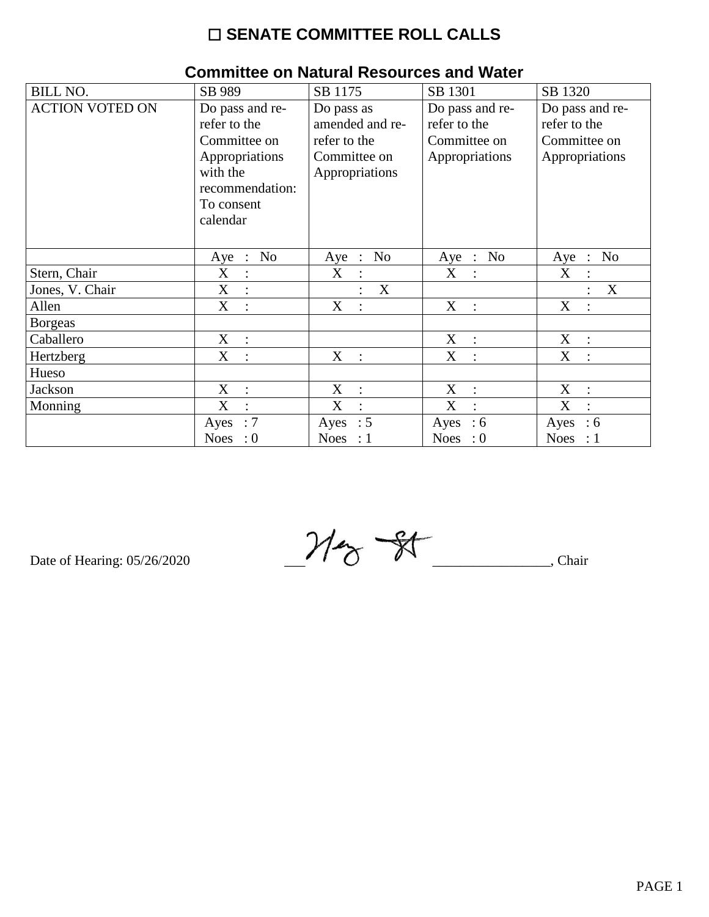## $\square$  SENATE COMMITTEE ROLL CALLS

|                        |                                          | 011111111100 ON NGCHI GI ROJOGI 000 GINI MGCGI |                                                  |                                    |
|------------------------|------------------------------------------|------------------------------------------------|--------------------------------------------------|------------------------------------|
| <b>BILL NO.</b>        | SB 989                                   | SB 1175                                        | SB 1301                                          | SB 1320                            |
| <b>ACTION VOTED ON</b> | Do pass and re-                          | Do pass as                                     | Do pass and re-                                  | Do pass and re-                    |
|                        | refer to the                             | amended and re-                                | refer to the                                     | refer to the                       |
|                        | Committee on                             | refer to the                                   | Committee on                                     | Committee on                       |
|                        | Appropriations                           | Committee on                                   | Appropriations                                   | Appropriations                     |
|                        | with the                                 | Appropriations                                 |                                                  |                                    |
|                        | recommendation:                          |                                                |                                                  |                                    |
|                        | To consent                               |                                                |                                                  |                                    |
|                        | calendar                                 |                                                |                                                  |                                    |
|                        |                                          |                                                |                                                  |                                    |
|                        | No<br>Aye<br>$\ddot{\phantom{1}}$ :      | N <sub>o</sub><br>Aye<br>$\dddot{\phantom{1}}$ | N <sub>0</sub><br>Aye<br>$\dddot{\phantom{1}}$ : | N <sub>0</sub><br>Aye<br>$\cdot$ : |
| Stern, Chair           | X<br>$\ddot{\cdot}$                      | X                                              | X                                                | X                                  |
| Jones, V. Chair        | X<br>$\sim 10^7$                         | $\boldsymbol{X}$                               |                                                  | X                                  |
| Allen                  | X<br>$\cdot$                             | X<br>$\cdot$                                   | X<br>$\ddot{\cdot}$                              | X<br>$\overline{\phantom{a}}$      |
| <b>Borgeas</b>         |                                          |                                                |                                                  |                                    |
| Caballero              | $X_{\mathcal{I}}$<br>$\sim$ 1 $^{\circ}$ |                                                | X<br>$\sim 10^7$                                 | X<br>$\sim 10$                     |
| Hertzberg              | X<br>$\cdot$ .                           | $X_{\mathcal{I}}$<br>$\mathbf{L}$              | X<br>$\ddot{\cdot}$                              | X<br>$\bullet$                     |
| Hueso                  |                                          |                                                |                                                  |                                    |
| Jackson                | X<br>$\mathbb{R}^2$                      | X<br>$\mathbb{R}^2$                            | X<br>$\ddot{\cdot}$                              | X<br>$\ddot{\cdot}$                |
| Monning                | X<br>$\ddot{\cdot}$                      | X<br>$\cdot$                                   | X<br>$\cdot$                                     | X<br>$\cdot$                       |
|                        | :7<br>Ayes                               | Ayes : $5$                                     | Ayes<br>:6                                       | Ayes<br>$\therefore$ 6             |
|                        | Noes : $0$                               | Noes : $1$                                     | Noes : $0$                                       | Noes : $1$                         |

## Committee on Natural Resources and Water

Date of Hearing: 05/26/2020

 $M_{\odot}$  +  $\overline{\phantom{a}}$ , Chair